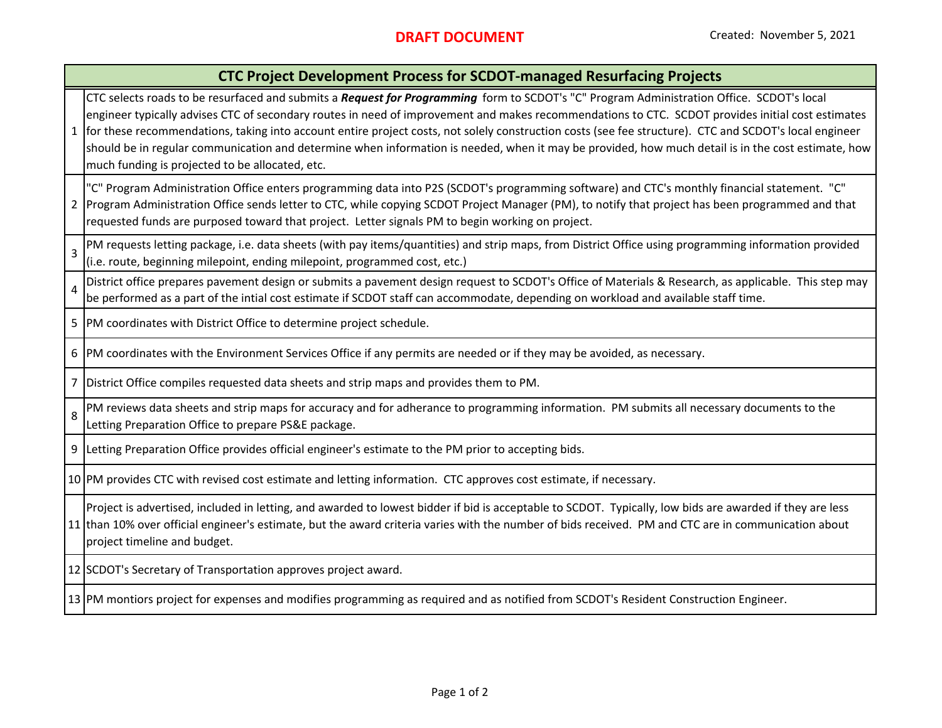## **CTC Project Development Process for SCDOT‐managed Resurfacing Projects**

CTC selects roads to be resurfaced and submits <sup>a</sup> *Request for Programming* form to SCDOT's "C" Program Administration Office. SCDOT's local engineer typically advises CTC of secondary routes in need of improvement and makes recommendations to CTC. SCDOT provides initial cost estimates

1for these recommendations, taking into account entire project costs, not solely construction costs (see fee structure). CTC and SCDOT's local engineer should be in regular communication and determine when information is needed, when it may be provided, how much detail is in the cost estimate, how much funding is projected to be allocated, etc.

2"C" Program Administration Office enters programming data into P2S (SCDOT's programming software) and CTC's monthly financial statement. "C" Program Administration Office sends letter to CTC, while copying SCDOT Project Manager (PM), to notify that project has been programmed and that requested funds are purposed toward that project. Letter signals PM to begin working on project.

3PM requests letting package, i.e. data sheets (with pay items/quantities) and strip maps, from District Office using programming information provided (i.e. route, beginning milepoint, ending milepoint, programmed cost, etc.)

4District office prepares pavement design or submits <sup>a</sup> pavement design request to SCDOT's Office of Materials & Research, as applicable. This step may be performed as <sup>a</sup> part of the intial cost estimate if SCDOT staff can accommodate, depending on workload and available staff time.

5 PM coordinates with District Office to determine project schedule.

6 PM coordinates with the Environment Services Office if any permits are needed or if they may be avoided, as necessary.

7District Office compiles requested data sheets and strip maps and provides them to PM.

8PM reviews data sheets and strip maps for accuracy and for adherance to programming information. PM submits all necessary documents to the Letting Preparation Office to prepare PS&E package.

9 Letting Preparation Office provides official engineer's estimate to the PM prior to accepting bids.

10 PM provides CTC with revised cost estimate and letting information. CTC approves cost estimate, if necessary.

11 than 10% over official engineer's estimate, but the award criteria varies with the number of bids received. PM and CTC are in communication about Project is advertised, included in letting, and awarded to lowest bidder if bid is acceptable to SCDOT. Typically, low bids are awarded if they are less project timeline and budget.

12 SCDOT's Secretary of Transportation approves project award.

13 PM montiors project for expenses and modifies programming as required and as notified from SCDOT's Resident Construction Engineer.